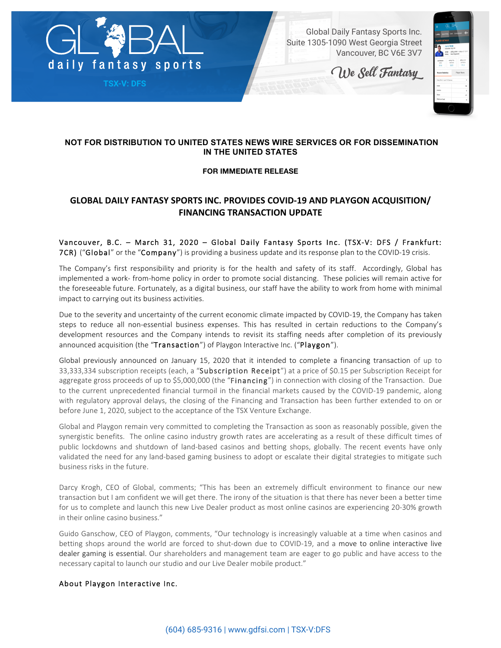

**TSX-V: DFS**

Global Daily Fantasy Sports Inc. Suite 1305-1090 West Georgia Street Vancouver, BC V6E 3V7

We Sell Fantasy



## **NOT FOR DISTRIBUTION TO UNITED STATES NEWS WIRE SERVICES OR FOR DISSEMINATION IN THE UNITED STATES**

## **FOR IMMEDIATE RELEASE**

# **GLOBAL DAILY FANTASY SPORTS INC. PROVIDES COVID-19 AND PLAYGON ACQUISITION/ FINANCING TRANSACTION UPDATE**

## Vancouver, B.C. – March 31, 2020 – Global Daily Fantasy Sports Inc. (TSX-V: DFS / Frankfurt: 7CR) ("Global" or the "Company") is providing a business update and its response plan to the COVID-19 crisis.

The Company's first responsibility and priority is for the health and safety of its staff. Accordingly, Global has implemented a work- from-home policy in order to promote social distancing. These policies will remain active for the foreseeable future. Fortunately, as a digital business, our staff have the ability to work from home with minimal impact to carrying out its business activities.

Due to the severity and uncertainty of the current economic climate impacted by COVID-19, the Company has taken steps to reduce all non-essential business expenses. This has resulted in certain reductions to the Company's development resources and the Company intends to revisit its staffing needs after completion of its previously announced acquisition (the "Transaction") of Playgon Interactive Inc. ("Playgon").

Global previously announced on January 15, 2020 that it intended to complete a financing transaction of up to 33,333,334 subscription receipts (each, a "Subscription Receipt") at a price of \$0.15 per Subscription Receipt for aggregate gross proceeds of up to \$5,000,000 (the "Financing") in connection with closing of the Transaction. Due to the current unprecedented financial turmoil in the financial markets caused by the COVID-19 pandemic, along with regulatory approval delays, the closing of the Financing and Transaction has been further extended to on or before June 1, 2020, subject to the acceptance of the TSX Venture Exchange.

Global and Playgon remain very committed to completing the Transaction as soon as reasonably possible, given the synergistic benefits. The online casino industry growth rates are accelerating as a result of these difficult times of public lockdowns and shutdown of land-based casinos and betting shops, globally. The recent events have only validated the need for any land-based gaming business to adopt or escalate their digital strategies to mitigate such business risks in the future.

Darcy Krogh, CEO of Global, comments; "This has been an extremely difficult environment to finance our new transaction but I am confident we will get there. The irony of the situation is that there has never been a better time for us to complete and launch this new Live Dealer product as most online casinos are experiencing 20-30% growth in their online casino business."

Guido Ganschow, CEO of Playgon, comments, "Our technology is increasingly valuable at a time when casinos and betting shops around the world are forced to shut-down due to COVID-19, and a move to online interactive live dealer gaming is essential. Our shareholders and management team are eager to go public and have access to the necessary capital to launch our studio and our Live Dealer mobile product."

## About Playgon Interactive Inc.